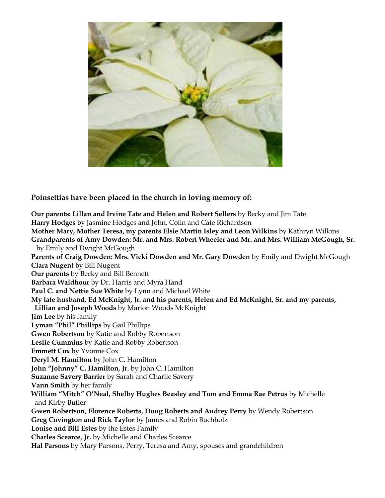

**Poinsettias have been placed in the church in loving memory of:**

**Our parents: Lillan and Irvine Tate and Helen and Robert Sellers** by Becky and Jim Tate **Harry Hodges** by Jasmine Hodges and John, Colin and Cate Richardson **Mother Mary, Mother Teresa, my parents Elsie Martin Isley and Leon Wilkins** by Kathryn Wilkins **Grandparents of Amy Dowden: Mr. and Mrs. Robert Wheeler and Mr. and Mrs. William McGough, Sr.**  by Emily and Dwight McGough **Parents of Craig Dowden: Mrs. Vicki Dowden and Mr. Gary Dowden** by Emily and Dwight McGough **Clara Nugent** by Bill Nugent **Our parents** by Becky and Bill Bennett **Barbara Waldhour** by Dr. Harris and Myra Hand **Paul C. and Nettie Sue White** by Lynn and Michael White **My late husband, Ed McKnight, Jr. and his parents, Helen and Ed McKnight, Sr. and my parents, Lillian and Joseph Woods** by Marion Woods McKnight **Jim Lee** by his family **Lyman "Phil" Phillips** by Gail Phillips **Gwen Robertson** by Katie and Robby Robertson **Leslie Cummins** by Katie and Robby Robertson **Emmett Cox** by Yvonne Cox **Deryl M. Hamilton** by John C. Hamilton **John "Johnny" C. Hamilton, Jr.** by John C. Hamilton **Suzanne Savery Barrier** by Sarah and Charlie Savery **Vann Smith** by her family **William "Mitch" O'Neal, Shelby Hughes Beasley and Tom and Emma Rae Petrus** by Michelle and Kirby Butler **Gwen Robertson, Florence Roberts, Doug Roberts and Audrey Perry** by Wendy Robertson **Greg Covington and Rick Taylor** by James and Robin Buchholz **Louise and Bill Estes** by the Estes Family **Charles Scearce, Jr.** by Michelle and Charles Scearce **Hal Parsons** by Mary Parsons, Perry, Teresa and Amy, spouses and grandchildren